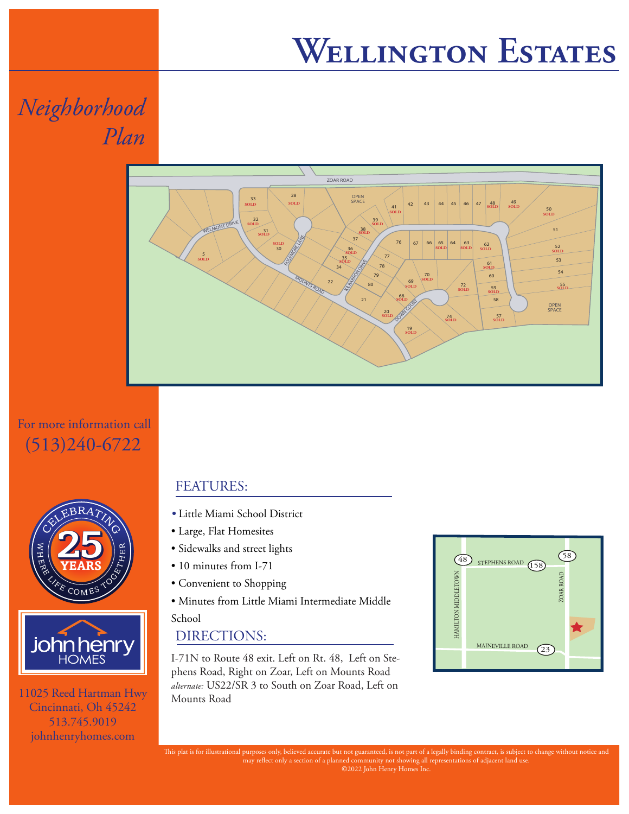## **Wellington Estates**

*Neighborhood Plan*



For more information call (513)240-6722





11025 Reed Hartman Hwy Cincinnati, Oh 45242 513.745.9019 johnhenryhomes.com

### FEATURES:

- *•* Little Miami School District
- Large, Flat Homesites
- Sidewalks and street lights
- 10 minutes from I-71
- Convenient to Shopping
- Minutes from Little Miami Intermediate Middle

School

#### DIRECTIONS:

I-71N to Route 48 exit. Left on Rt. 48, Left on Stephens Road, Right on Zoar, Left on Mounts Road *alternate:* US22/SR 3 to South on Zoar Road, Left on Mounts Road



This plat is for illustrational purposes only, believed accurate but not guaranteed, is not part of a legally binding contract, is subject to change without notice and may reflect only a section of a planned community not showing all representations of adjacent land use. ©2022 John Henry Homes Inc.